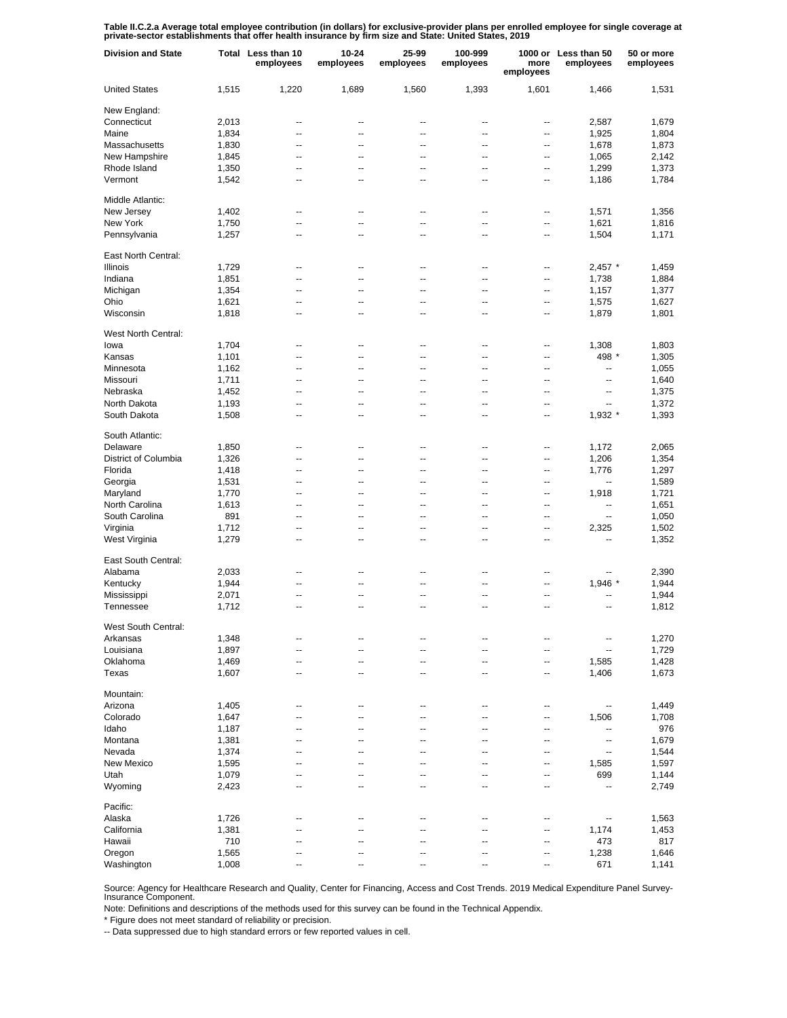Table II.C.2.a Average total employee contribution (in dollars) for exclusive-provider plans per enrolled employee for single coverage at<br>private-sector establishments that offer health insurance by firm size and State: Un

| <b>Division and State</b> |       | Total Less than 10<br>employees | 10-24<br>employees       | 25-99<br>employees | 100-999<br>employees | more<br>employees | 1000 or Less than 50<br>employees | 50 or more<br>employees |
|---------------------------|-------|---------------------------------|--------------------------|--------------------|----------------------|-------------------|-----------------------------------|-------------------------|
| <b>United States</b>      | 1,515 | 1,220                           | 1,689                    | 1,560              | 1,393                | 1,601             | 1,466                             | 1,531                   |
| New England:              |       |                                 |                          |                    |                      |                   |                                   |                         |
| Connecticut               | 2,013 | --                              | --                       | --                 | --                   | ⊷                 | 2,587                             | 1,679                   |
| Maine                     | 1,834 | --                              | --                       | --                 | --                   | --                | 1,925                             | 1,804                   |
| Massachusetts             | 1,830 | --                              | --                       | --                 | --                   | $\overline{a}$    | 1,678                             | 1,873                   |
| New Hampshire             | 1,845 | $\overline{\phantom{a}}$        | --                       | ۰.                 | --                   | --                | 1,065                             | 2,142                   |
| Rhode Island              | 1,350 | --                              | --                       | --                 | --                   | $\overline{a}$    | 1,299                             | 1,373                   |
| Vermont                   | 1,542 | --                              | --                       | ۰.                 | --                   | --                | 1,186                             | 1,784                   |
| Middle Atlantic:          |       |                                 |                          |                    |                      |                   |                                   |                         |
| New Jersey                | 1,402 | $\overline{a}$                  | $\overline{\phantom{a}}$ | --                 | --                   | --                | 1,571                             | 1,356                   |
| New York                  | 1,750 | $\overline{a}$                  | $\overline{\phantom{a}}$ | --                 | --                   | --                | 1,621                             | 1,816                   |
| Pennsylvania              | 1,257 | $\overline{a}$                  | $\overline{a}$           | --                 | --                   | --                | 1,504                             | 1,171                   |
| East North Central:       |       |                                 |                          |                    |                      |                   |                                   |                         |
| <b>Illinois</b>           | 1,729 | --                              | --                       | --                 | --                   | --                | $2,457$ *                         | 1,459                   |
| Indiana                   | 1,851 | --                              | --                       | --                 | --                   | --                | 1,738                             | 1,884                   |
| Michigan                  | 1,354 | --                              | --                       | --                 | --                   | --                | 1,157                             | 1,377                   |
| Ohio                      | 1,621 | --                              | --                       | --                 | --                   | --                | 1,575                             | 1,627                   |
| Wisconsin                 | 1,818 | --                              | --                       | $\overline{a}$     | --                   | --                | 1,879                             | 1,801                   |
|                           |       |                                 |                          |                    |                      |                   |                                   |                         |
| West North Central:       |       |                                 |                          |                    |                      |                   |                                   |                         |
| lowa                      | 1,704 | --                              | --                       | --                 | --                   | --                | 1,308                             | 1,803                   |
| Kansas                    | 1,101 | --                              | --                       | --                 | --                   | --                | 498 *                             | 1,305                   |
| Minnesota                 | 1,162 | --                              | --                       | --                 | --                   | $\overline{a}$    | $\overline{a}$                    | 1,055                   |
| Missouri                  | 1,711 | $\overline{\phantom{a}}$        | --                       | ۰.                 | --                   | --                | --                                | 1,640                   |
| Nebraska                  | 1,452 | --                              | --                       | --                 | --                   | $\overline{a}$    | ۰.                                | 1,375                   |
| North Dakota              | 1,193 | $\overline{\phantom{a}}$        | --                       | ۰.                 | --                   | --                | --                                | 1,372                   |
| South Dakota              | 1,508 | --                              | --                       | --                 | --                   | --                | 1,932 *                           | 1,393                   |
| South Atlantic:           |       |                                 |                          |                    |                      |                   |                                   |                         |
| Delaware                  | 1,850 | --                              | $\overline{a}$           | --                 | --                   | --                | 1,172                             | 2,065                   |
| District of Columbia      | 1,326 | $\overline{a}$                  | --                       | $\overline{a}$     | --                   | --                | 1,206                             | 1,354                   |
| Florida                   | 1,418 | $\overline{a}$                  | --                       | $\overline{a}$     | --                   | --                | 1,776                             | 1,297                   |
| Georgia                   | 1,531 | $\overline{a}$                  | --                       | $\overline{a}$     | --                   | --                | --                                | 1,589                   |
| Maryland                  | 1,770 | $\overline{a}$                  | --                       | $\overline{a}$     | --                   | --                | 1,918                             | 1,721                   |
| North Carolina            |       | $\overline{a}$                  | $\overline{a}$           | $\overline{a}$     | --                   | --                | $\overline{a}$                    |                         |
|                           | 1,613 |                                 |                          |                    |                      |                   |                                   | 1,651                   |
| South Carolina            | 891   | $\overline{a}$                  | $\overline{\phantom{a}}$ | $\overline{a}$     | --                   | --                | --                                | 1,050                   |
| Virginia                  | 1,712 | $\overline{a}$                  | $\overline{\phantom{a}}$ | $\overline{a}$     | --                   | $\overline{a}$    | 2,325                             | 1,502                   |
| West Virginia             | 1,279 | $\overline{a}$                  | $\overline{\phantom{a}}$ | $\overline{a}$     | --                   | --                | --                                | 1,352                   |
| East South Central:       |       |                                 |                          |                    |                      |                   |                                   |                         |
| Alabama                   | 2,033 | --                              | --                       | --                 | --                   | --                |                                   | 2,390                   |
| Kentucky                  | 1,944 | --                              | --                       | --                 | --                   | --                | 1,946 *                           | 1,944                   |
| Mississippi               | 2,071 | --                              | --                       | --                 | --                   | --                |                                   | 1,944                   |
| Tennessee                 | 1,712 | --                              | $\overline{a}$           | $\overline{a}$     | --                   | $\overline{a}$    | --                                | 1,812                   |
| West South Central:       |       |                                 |                          |                    |                      |                   |                                   |                         |
| Arkansas                  | 1,348 | --                              | --                       |                    |                      |                   |                                   | 1,270                   |
|                           |       |                                 |                          |                    |                      |                   |                                   |                         |
| Louisiana                 | 1,897 | --                              | --                       | --                 | --                   | --                | --                                | 1,729                   |
| Oklahoma                  | 1,469 | --                              | --                       | --                 | --                   | --                | 1,585                             | 1,428                   |
| Texas                     | 1,607 | ۰.                              | --                       | --                 | --                   | --                | 1,406                             | 1,673                   |
| Mountain:                 |       |                                 |                          |                    |                      |                   |                                   |                         |
| Arizona                   | 1,405 | --                              | $\overline{a}$           | --                 | --                   | --                | ۰.                                | 1,449                   |
| Colorado                  | 1,647 | $\overline{a}$                  | --                       | --                 | --                   | --                | 1,506                             | 1,708                   |
| Idaho                     | 1,187 | --                              | --                       | --                 | --                   | --                | $\overline{a}$                    | 976                     |
| Montana                   | 1,381 | $\overline{a}$                  | --                       | --                 | --                   | --                | --                                | 1,679                   |
| Nevada                    |       |                                 | --                       | $\overline{a}$     |                      |                   |                                   |                         |
|                           | 1,374 | --                              |                          |                    | --                   | --                | --                                | 1,544                   |
| New Mexico                | 1,595 | --                              | --                       | --                 | --                   | --                | 1,585                             | 1,597                   |
| Utah                      | 1,079 | $\overline{a}$                  | --                       | $\overline{a}$     | --                   | --                | 699                               | 1,144                   |
| Wyoming                   | 2,423 | $\overline{a}$                  | --                       | $\overline{a}$     | --                   | --                | --                                | 2,749                   |
| Pacific:                  |       |                                 |                          |                    |                      |                   |                                   |                         |
| Alaska                    | 1,726 | --                              | --                       | --                 | --                   | --                | --                                | 1,563                   |
| California                | 1,381 | --                              | --                       |                    | --                   | --                | 1,174                             | 1,453                   |
| Hawaii                    | 710   | --                              | --                       | --                 | --                   | --                | 473                               | 817                     |
| Oregon                    | 1,565 | --                              | --                       |                    | --                   | --                | 1,238                             | 1,646                   |
| Washington                | 1,008 | --                              | --                       |                    | --                   | --                | 671                               | 1,141                   |

Source: Agency for Healthcare Research and Quality, Center for Financing, Access and Cost Trends. 2019 Medical Expenditure Panel Survey-Insurance Component.

Note: Definitions and descriptions of the methods used for this survey can be found in the Technical Appendix.

\* Figure does not meet standard of reliability or precision.

-- Data suppressed due to high standard errors or few reported values in cell.